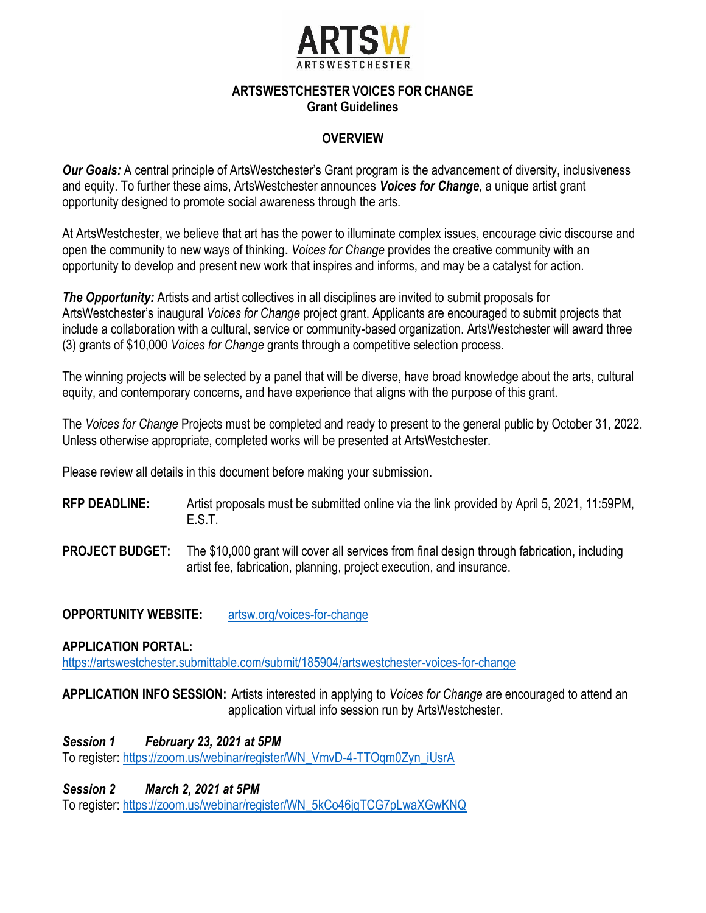

#### **ARTSWESTCHESTER VOICES FOR CHANGE Grant Guidelines**

## **OVERVIEW**

*Our Goals:* A central principle of ArtsWestchester's Grant program is the advancement of diversity, inclusiveness and equity. To further these aims, ArtsWestchester announces *Voices for Change*, a unique artist grant opportunity designed to promote social awareness through the arts.

At ArtsWestchester, we believe that art has the power to illuminate complex issues, encourage civic discourse and open the community to new ways of thinking**.** *Voices for Change* provides the creative community with an opportunity to develop and present new work that inspires and informs, and may be a catalyst for action.

*The Opportunity:* Artists and artist collectives in all disciplines are invited to submit proposals for ArtsWestchester's inaugural *Voices for Change* project grant. Applicants are encouraged to submit projects that include a collaboration with a cultural, service or community-based organization. ArtsWestchester will award three (3) grants of \$10,000 *Voices for Change* grants through a competitive selection process.

The winning projects will be selected by a panel that will be diverse, have broad knowledge about the arts, cultural equity, and contemporary concerns, and have experience that aligns with the purpose of this grant.

The *Voices for Change* Projects must be completed and ready to present to the general public by October 31, 2022. Unless otherwise appropriate, completed works will be presented at ArtsWestchester.

Please review all details in this document before making your submission.

- **RFP DEADLINE:** Artist proposals must be submitted online via the link provided by April 5, 2021, 11:59PM, E.S.T.
- **PROJECT BUDGET:** The \$10,000 grant will cover all services from final design through fabrication, including artist fee, fabrication, planning, project execution, and insurance.

**OPPORTUNITY WEBSITE:** artsw.org/voices-for-change

**APPLICATION PORTAL:**

<https://artswestchester.submittable.com/submit/185904/artswestchester-voices-for-change>

**APPLICATION INFO SESSION:** Artists interested in applying to *Voices for Change* are encouraged to attend an application virtual info session run by ArtsWestchester.

*Session 1 February 23, 2021 at 5PM* To register: [https://zoom.us/webinar/register/WN\\_VmvD-4-TTOqm0Zyn\\_iUsrA](https://zoom.us/webinar/register/WN_VmvD-4-TTOqm0Zyn_iUsrA)

*Session 2 March 2, 2021 at 5PM*

To register: [https://zoom.us/webinar/register/WN\\_5kCo46jqTCG7pLwaXGwKNQ](https://zoom.us/webinar/register/WN_5kCo46jqTCG7pLwaXGwKNQ)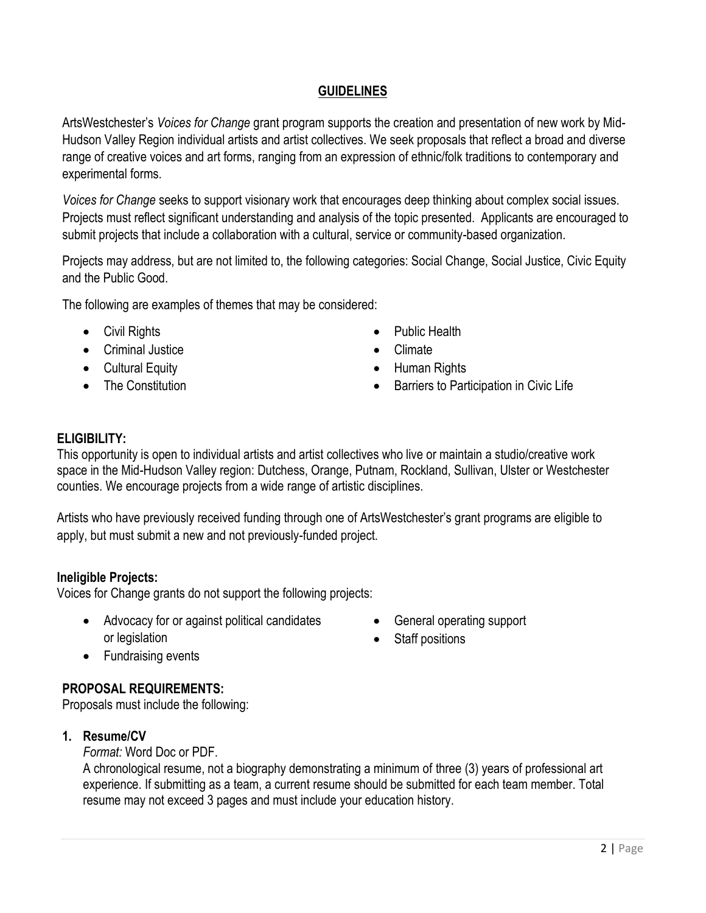## **GUIDELINES**

ArtsWestchester's *Voices for Change* grant program supports the creation and presentation of new work by Mid-Hudson Valley Region individual artists and artist collectives. We seek proposals that reflect a broad and diverse range of creative voices and art forms, ranging from an expression of ethnic/folk traditions to contemporary and experimental forms.

*Voices for Change* seeks to support visionary work that encourages deep thinking about complex social issues. Projects must reflect significant understanding and analysis of the topic presented. Applicants are encouraged to submit projects that include a collaboration with a cultural, service or community-based organization.

Projects may address, but are not limited to, the following categories: Social Change, Social Justice, Civic Equity and the Public Good.

The following are examples of themes that may be considered:

- Civil Rights
- Criminal Justice
- Cultural Equity
- The Constitution
- Public Health
- Climate
- Human Rights
- Barriers to Participation in Civic Life

### **ELIGIBILITY:**

This opportunity is open to individual artists and artist collectives who live or maintain a studio/creative work space in the Mid-Hudson Valley region: Dutchess, Orange, Putnam, Rockland, Sullivan, Ulster or Westchester counties. We encourage projects from a wide range of artistic disciplines.

Artists who have previously received funding through one of ArtsWestchester's grant programs are eligible to apply, but must submit a new and not previously-funded project.

### **Ineligible Projects:**

Voices for Change grants do not support the following projects:

- Advocacy for or against political candidates or legislation
- General operating support
- Staff positions

• Fundraising events

# **PROPOSAL REQUIREMENTS:**

Proposals must include the following:

### **1. Resume/CV**

*Format:* Word Doc or PDF.

A chronological resume, not a biography demonstrating a minimum of three (3) years of professional art experience. If submitting as a team, a current resume should be submitted for each team member. Total resume may not exceed 3 pages and must include your education history.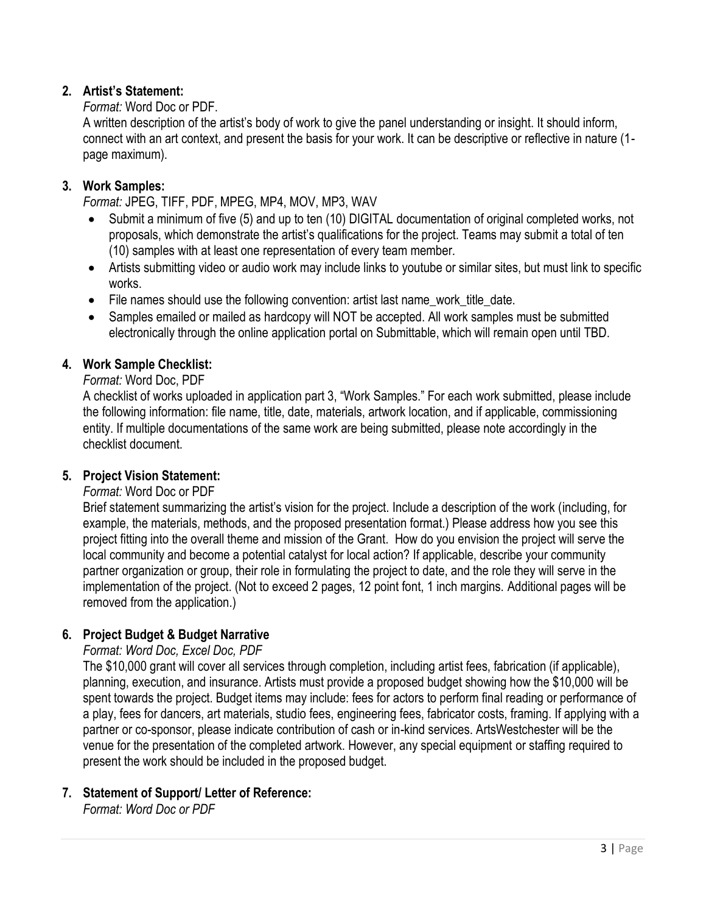## **2. Artist's Statement:**

### *Format:* Word Doc or PDF.

A written description of the artist's body of work to give the panel understanding or insight. It should inform, connect with an art context, and present the basis for your work. It can be descriptive or reflective in nature (1 page maximum).

### **3. Work Samples:**

*Format:* JPEG, TIFF, PDF, MPEG, MP4, MOV, MP3, WAV

- Submit a minimum of five (5) and up to ten (10) DIGITAL documentation of original completed works, not proposals, which demonstrate the artist's qualifications for the project. Teams may submit a total of ten (10) samples with at least one representation of every team member.
- Artists submitting video or audio work may include links to youtube or similar sites, but must link to specific works.
- File names should use the following convention: artist last name\_work\_title\_date.
- Samples emailed or mailed as hardcopy will NOT be accepted. All work samples must be submitted electronically through the online application portal on Submittable, which will remain open until TBD.

### **4. Work Sample Checklist:**

#### *Format:* Word Doc, PDF

A checklist of works uploaded in application part 3, "Work Samples." For each work submitted, please include the following information: file name, title, date, materials, artwork location, and if applicable, commissioning entity. If multiple documentations of the same work are being submitted, please note accordingly in the checklist document.

### **5. Project Vision Statement:**

### *Format:* Word Doc or PDF

Brief statement summarizing the artist's vision for the project. Include a description of the work (including, for example, the materials, methods, and the proposed presentation format.) Please address how you see this project fitting into the overall theme and mission of the Grant. How do you envision the project will serve the local community and become a potential catalyst for local action? If applicable, describe your community partner organization or group, their role in formulating the project to date, and the role they will serve in the implementation of the project. (Not to exceed 2 pages, 12 point font, 1 inch margins. Additional pages will be removed from the application.)

### **6. Project Budget & Budget Narrative**

### *Format: Word Doc, Excel Doc, PDF*

The \$10,000 grant will cover all services through completion, including artist fees, fabrication (if applicable), planning, execution, and insurance. Artists must provide a proposed budget showing how the \$10,000 will be spent towards the project. Budget items may include: fees for actors to perform final reading or performance of a play, fees for dancers, art materials, studio fees, engineering fees, fabricator costs, framing. If applying with a partner or co-sponsor, please indicate contribution of cash or in-kind services. ArtsWestchester will be the venue for the presentation of the completed artwork. However, any special equipment or staffing required to present the work should be included in the proposed budget.

# **7. Statement of Support/ Letter of Reference:**

*Format: Word Doc or PDF*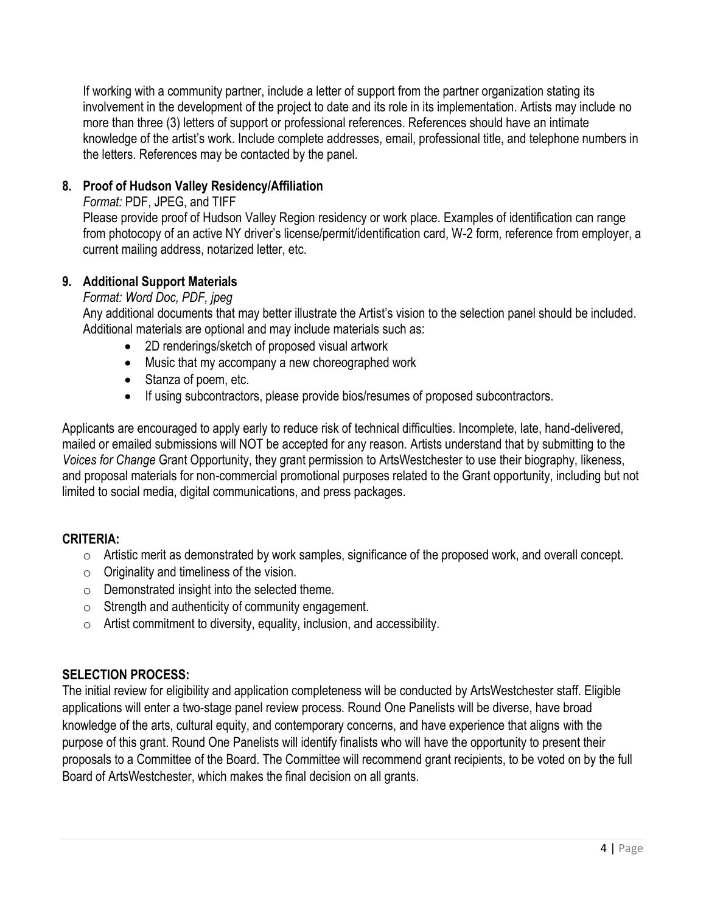If working with a community partner, include a letter of support from the partner organization stating its involvement in the development of the project to date and its role in its implementation. Artists may include no more than three (3) letters of support or professional references. References should have an intimate knowledge of the artist's work. Include complete addresses, email, professional title, and telephone numbers in the letters. References may be contacted by the panel.

# **8. Proof of Hudson Valley Residency/Affiliation**

*Format:* PDF, JPEG, and TIFF

Please provide proof of Hudson Valley Region residency or work place. Examples of identification can range from photocopy of an active NY driver's license/permit/identification card, W-2 form, reference from employer, a current mailing address, notarized letter, etc.

### **9. Additional Support Materials**

### *Format: Word Doc, PDF, jpeg*

Any additional documents that may better illustrate the Artist's vision to the selection panel should be included. Additional materials are optional and may include materials such as:

- 2D renderings/sketch of proposed visual artwork
- Music that my accompany a new choreographed work
- Stanza of poem, etc.
- If using subcontractors, please provide bios/resumes of proposed subcontractors.

Applicants are encouraged to apply early to reduce risk of technical difficulties. Incomplete, late, hand-delivered, mailed or emailed submissions will NOT be accepted for any reason. Artists understand that by submitting to the *Voices for Change* Grant Opportunity, they grant permission to ArtsWestchester to use their biography, likeness, and proposal materials for non-commercial promotional purposes related to the Grant opportunity, including but not limited to social media, digital communications, and press packages.

# **CRITERIA:**

- o Artistic merit as demonstrated by work samples, significance of the proposed work, and overall concept.
- $\circ$  Originality and timeliness of the vision.
- o Demonstrated insight into the selected theme.
- o Strength and authenticity of community engagement.
- $\circ$  Artist commitment to diversity, equality, inclusion, and accessibility.

# **SELECTION PROCESS:**

The initial review for eligibility and application completeness will be conducted by ArtsWestchester staff. Eligible applications will enter a two-stage panel review process. Round One Panelists will be diverse, have broad knowledge of the arts, cultural equity, and contemporary concerns, and have experience that aligns with the purpose of this grant. Round One Panelists will identify finalists who will have the opportunity to present their proposals to a Committee of the Board. The Committee will recommend grant recipients, to be voted on by the full Board of ArtsWestchester, which makes the final decision on all grants.